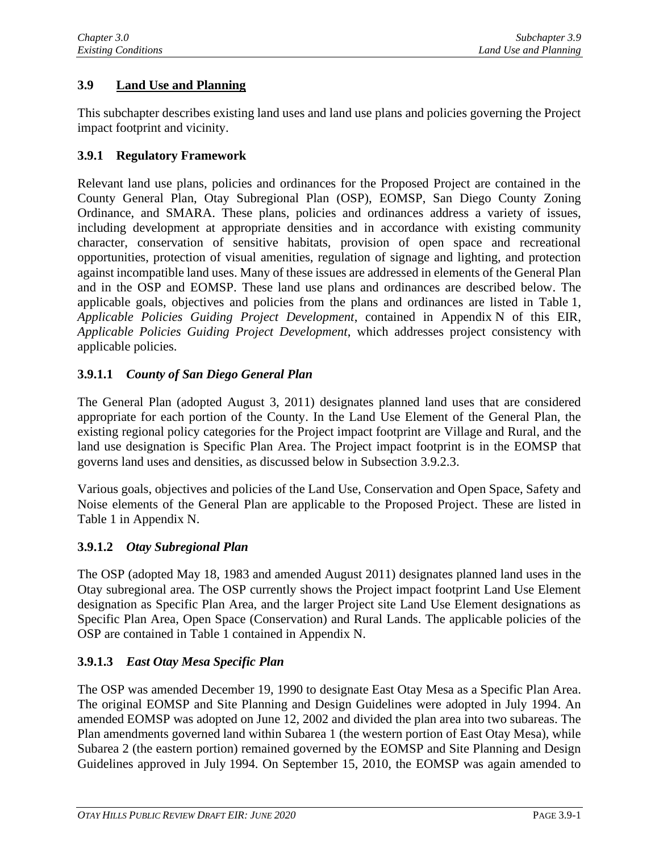## **3.9 Land Use and Planning**

This subchapter describes existing land uses and land use plans and policies governing the Project impact footprint and vicinity.

#### **3.9.1 Regulatory Framework**

Relevant land use plans, policies and ordinances for the Proposed Project are contained in the County General Plan, Otay Subregional Plan (OSP), EOMSP, San Diego County Zoning Ordinance, and SMARA. These plans, policies and ordinances address a variety of issues, including development at appropriate densities and in accordance with existing community character, conservation of sensitive habitats, provision of open space and recreational opportunities, protection of visual amenities, regulation of signage and lighting, and protection against incompatible land uses. Many of these issues are addressed in elements of the General Plan and in the OSP and EOMSP. These land use plans and ordinances are described below. The applicable goals, objectives and policies from the plans and ordinances are listed in Table 1, *Applicable Policies Guiding Project Development*, contained in Appendix N of this EIR, *Applicable Policies Guiding Project Development*, which addresses project consistency with applicable policies.

### **3.9.1.1** *County of San Diego General Plan*

The General Plan (adopted August 3, 2011) designates planned land uses that are considered appropriate for each portion of the County. In the Land Use Element of the General Plan, the existing regional policy categories for the Project impact footprint are Village and Rural, and the land use designation is Specific Plan Area. The Project impact footprint is in the EOMSP that governs land uses and densities, as discussed below in Subsection 3.9.2.3.

Various goals, objectives and policies of the Land Use, Conservation and Open Space, Safety and Noise elements of the General Plan are applicable to the Proposed Project. These are listed in Table 1 in Appendix N.

### **3.9.1.2** *Otay Subregional Plan*

The OSP (adopted May 18, 1983 and amended August 2011) designates planned land uses in the Otay subregional area. The OSP currently shows the Project impact footprint Land Use Element designation as Specific Plan Area, and the larger Project site Land Use Element designations as Specific Plan Area, Open Space (Conservation) and Rural Lands. The applicable policies of the OSP are contained in Table 1 contained in Appendix N.

## **3.9.1.3** *East Otay Mesa Specific Plan*

The OSP was amended December 19, 1990 to designate East Otay Mesa as a Specific Plan Area. The original EOMSP and Site Planning and Design Guidelines were adopted in July 1994. An amended EOMSP was adopted on June 12, 2002 and divided the plan area into two subareas. The Plan amendments governed land within Subarea 1 (the western portion of East Otay Mesa), while Subarea 2 (the eastern portion) remained governed by the EOMSP and Site Planning and Design Guidelines approved in July 1994. On September 15, 2010, the EOMSP was again amended to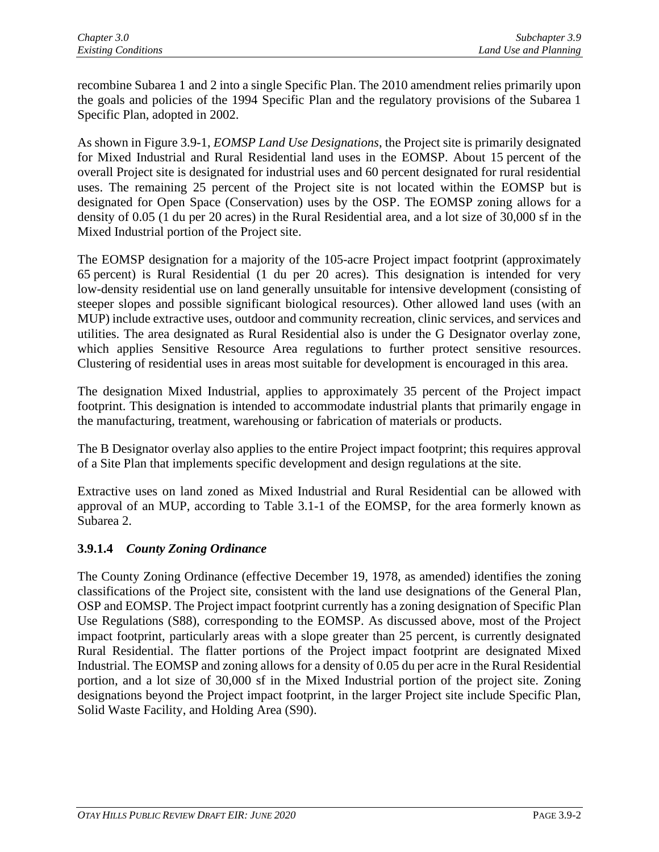recombine Subarea 1 and 2 into a single Specific Plan. The 2010 amendment relies primarily upon the goals and policies of the 1994 Specific Plan and the regulatory provisions of the Subarea 1 Specific Plan, adopted in 2002.

As shown in Figure 3.9-1, *EOMSP Land Use Designations*, the Project site is primarily designated for Mixed Industrial and Rural Residential land uses in the EOMSP. About 15 percent of the overall Project site is designated for industrial uses and 60 percent designated for rural residential uses. The remaining 25 percent of the Project site is not located within the EOMSP but is designated for Open Space (Conservation) uses by the OSP. The EOMSP zoning allows for a density of 0.05 (1 du per 20 acres) in the Rural Residential area, and a lot size of 30,000 sf in the Mixed Industrial portion of the Project site.

The EOMSP designation for a majority of the 105-acre Project impact footprint (approximately 65 percent) is Rural Residential (1 du per 20 acres). This designation is intended for very low-density residential use on land generally unsuitable for intensive development (consisting of steeper slopes and possible significant biological resources). Other allowed land uses (with an MUP) include extractive uses, outdoor and community recreation, clinic services, and services and utilities. The area designated as Rural Residential also is under the G Designator overlay zone, which applies Sensitive Resource Area regulations to further protect sensitive resources. Clustering of residential uses in areas most suitable for development is encouraged in this area.

The designation Mixed Industrial, applies to approximately 35 percent of the Project impact footprint. This designation is intended to accommodate industrial plants that primarily engage in the manufacturing, treatment, warehousing or fabrication of materials or products.

The B Designator overlay also applies to the entire Project impact footprint; this requires approval of a Site Plan that implements specific development and design regulations at the site.

Extractive uses on land zoned as Mixed Industrial and Rural Residential can be allowed with approval of an MUP, according to Table 3.1-1 of the EOMSP, for the area formerly known as Subarea 2.

## **3.9.1.4** *County Zoning Ordinance*

The County Zoning Ordinance (effective December 19, 1978, as amended) identifies the zoning classifications of the Project site, consistent with the land use designations of the General Plan, OSP and EOMSP. The Project impact footprint currently has a zoning designation of Specific Plan Use Regulations (S88), corresponding to the EOMSP. As discussed above, most of the Project impact footprint, particularly areas with a slope greater than 25 percent, is currently designated Rural Residential. The flatter portions of the Project impact footprint are designated Mixed Industrial. The EOMSP and zoning allows for a density of 0.05 du per acre in the Rural Residential portion, and a lot size of 30,000 sf in the Mixed Industrial portion of the project site. Zoning designations beyond the Project impact footprint, in the larger Project site include Specific Plan, Solid Waste Facility, and Holding Area (S90).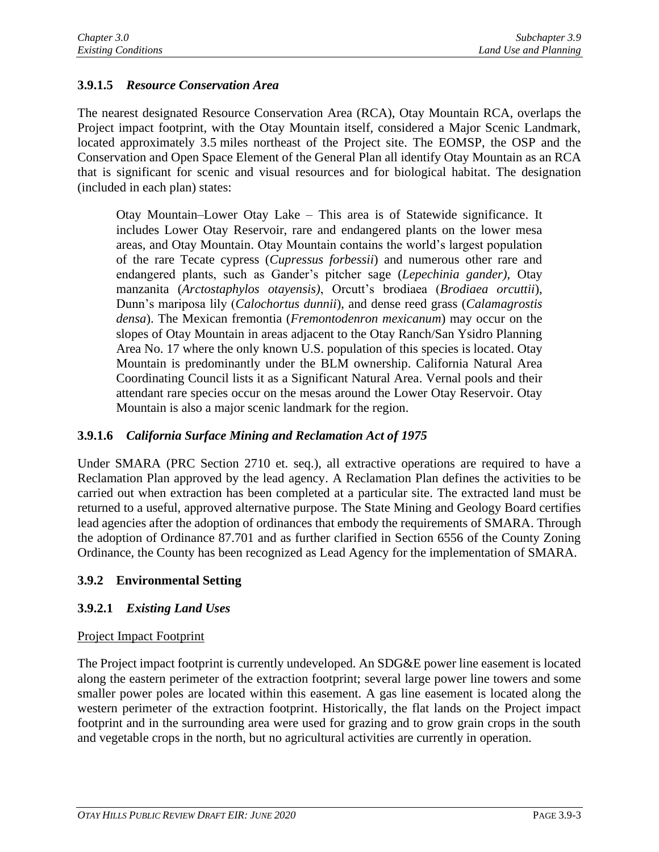## **3.9.1.5** *Resource Conservation Area*

The nearest designated Resource Conservation Area (RCA), Otay Mountain RCA, overlaps the Project impact footprint, with the Otay Mountain itself, considered a Major Scenic Landmark, located approximately 3.5 miles northeast of the Project site. The EOMSP, the OSP and the Conservation and Open Space Element of the General Plan all identify Otay Mountain as an RCA that is significant for scenic and visual resources and for biological habitat. The designation (included in each plan) states:

Otay Mountain–Lower Otay Lake – This area is of Statewide significance. It includes Lower Otay Reservoir, rare and endangered plants on the lower mesa areas, and Otay Mountain. Otay Mountain contains the world's largest population of the rare Tecate cypress (*Cupressus forbessii*) and numerous other rare and endangered plants, such as Gander's pitcher sage (*Lepechinia gander)*, Otay manzanita (*Arctostaphylos otayensis)*, Orcutt's brodiaea (*Brodiaea orcuttii*), Dunn's mariposa lily (*Calochortus dunnii*), and dense reed grass (*Calamagrostis densa*). The Mexican fremontia (*Fremontodenron mexicanum*) may occur on the slopes of Otay Mountain in areas adjacent to the Otay Ranch/San Ysidro Planning Area No. 17 where the only known U.S. population of this species is located. Otay Mountain is predominantly under the BLM ownership. California Natural Area Coordinating Council lists it as a Significant Natural Area. Vernal pools and their attendant rare species occur on the mesas around the Lower Otay Reservoir. Otay Mountain is also a major scenic landmark for the region.

### **3.9.1.6** *California Surface Mining and Reclamation Act of 1975*

Under SMARA (PRC Section 2710 et. seq.), all extractive operations are required to have a Reclamation Plan approved by the lead agency. A Reclamation Plan defines the activities to be carried out when extraction has been completed at a particular site. The extracted land must be returned to a useful, approved alternative purpose. The State Mining and Geology Board certifies lead agencies after the adoption of ordinances that embody the requirements of SMARA. Through the adoption of Ordinance 87.701 and as further clarified in Section 6556 of the County Zoning Ordinance, the County has been recognized as Lead Agency for the implementation of SMARA.

### **3.9.2 Environmental Setting**

### **3.9.2.1** *Existing Land Uses*

### Project Impact Footprint

The Project impact footprint is currently undeveloped. An SDG&E power line easement is located along the eastern perimeter of the extraction footprint; several large power line towers and some smaller power poles are located within this easement. A gas line easement is located along the western perimeter of the extraction footprint. Historically, the flat lands on the Project impact footprint and in the surrounding area were used for grazing and to grow grain crops in the south and vegetable crops in the north, but no agricultural activities are currently in operation.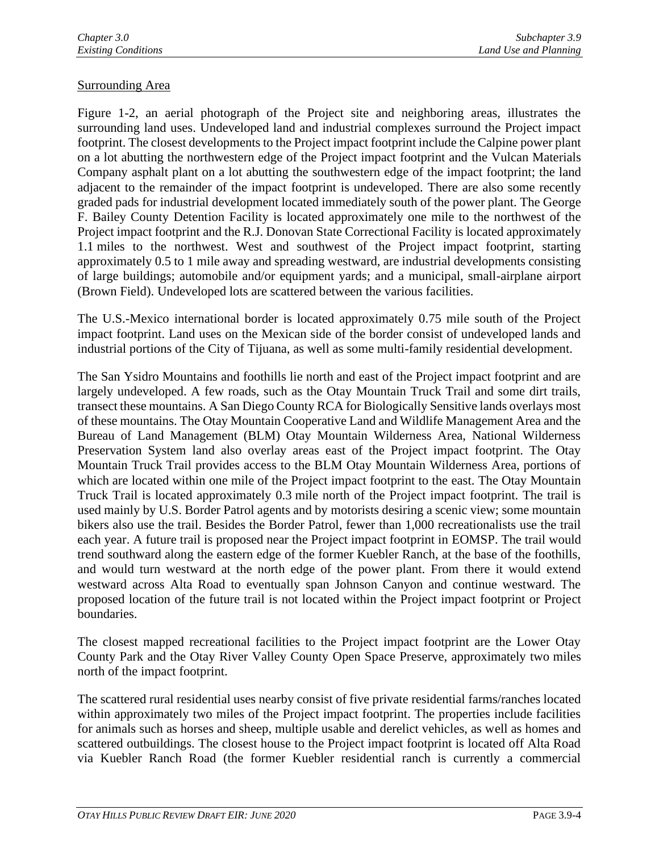### Surrounding Area

Figure 1-2, an aerial photograph of the Project site and neighboring areas, illustrates the surrounding land uses. Undeveloped land and industrial complexes surround the Project impact footprint. The closest developments to the Project impact footprint include the Calpine power plant on a lot abutting the northwestern edge of the Project impact footprint and the Vulcan Materials Company asphalt plant on a lot abutting the southwestern edge of the impact footprint; the land adjacent to the remainder of the impact footprint is undeveloped. There are also some recently graded pads for industrial development located immediately south of the power plant. The George F. Bailey County Detention Facility is located approximately one mile to the northwest of the Project impact footprint and the R.J. Donovan State Correctional Facility is located approximately 1.1 miles to the northwest. West and southwest of the Project impact footprint, starting approximately 0.5 to 1 mile away and spreading westward, are industrial developments consisting of large buildings; automobile and/or equipment yards; and a municipal, small-airplane airport (Brown Field). Undeveloped lots are scattered between the various facilities.

The U.S.-Mexico international border is located approximately 0.75 mile south of the Project impact footprint. Land uses on the Mexican side of the border consist of undeveloped lands and industrial portions of the City of Tijuana, as well as some multi-family residential development.

The San Ysidro Mountains and foothills lie north and east of the Project impact footprint and are largely undeveloped. A few roads, such as the Otay Mountain Truck Trail and some dirt trails, transect these mountains. A San Diego County RCA for Biologically Sensitive lands overlays most of these mountains. The Otay Mountain Cooperative Land and Wildlife Management Area and the Bureau of Land Management (BLM) Otay Mountain Wilderness Area, National Wilderness Preservation System land also overlay areas east of the Project impact footprint. The Otay Mountain Truck Trail provides access to the BLM Otay Mountain Wilderness Area, portions of which are located within one mile of the Project impact footprint to the east. The Otay Mountain Truck Trail is located approximately 0.3 mile north of the Project impact footprint. The trail is used mainly by U.S. Border Patrol agents and by motorists desiring a scenic view; some mountain bikers also use the trail. Besides the Border Patrol, fewer than 1,000 recreationalists use the trail each year. A future trail is proposed near the Project impact footprint in EOMSP. The trail would trend southward along the eastern edge of the former Kuebler Ranch, at the base of the foothills, and would turn westward at the north edge of the power plant. From there it would extend westward across Alta Road to eventually span Johnson Canyon and continue westward. The proposed location of the future trail is not located within the Project impact footprint or Project boundaries.

The closest mapped recreational facilities to the Project impact footprint are the Lower Otay County Park and the Otay River Valley County Open Space Preserve, approximately two miles north of the impact footprint.

The scattered rural residential uses nearby consist of five private residential farms/ranches located within approximately two miles of the Project impact footprint. The properties include facilities for animals such as horses and sheep, multiple usable and derelict vehicles, as well as homes and scattered outbuildings. The closest house to the Project impact footprint is located off Alta Road via Kuebler Ranch Road (the former Kuebler residential ranch is currently a commercial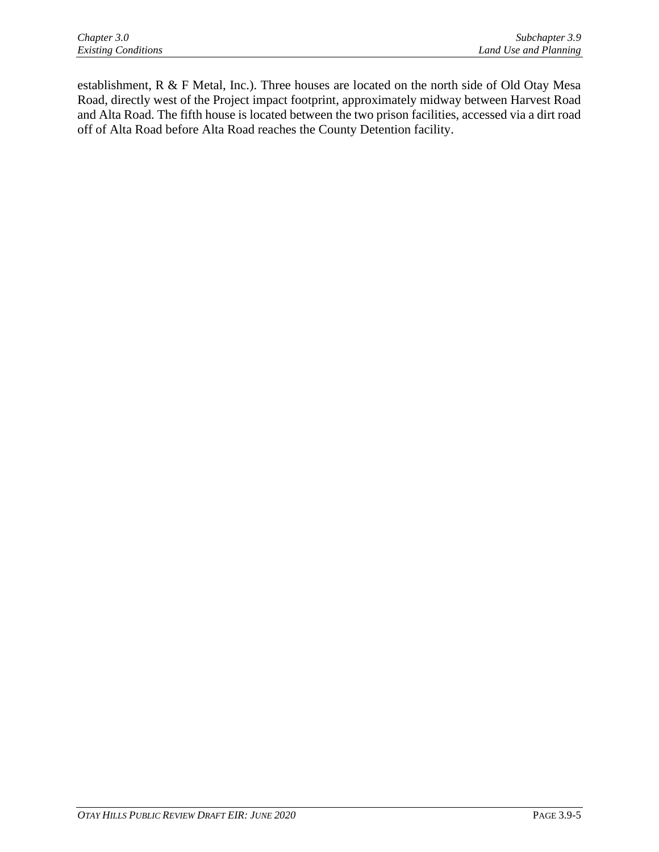establishment, R & F Metal, Inc.). Three houses are located on the north side of Old Otay Mesa Road, directly west of the Project impact footprint, approximately midway between Harvest Road and Alta Road. The fifth house is located between the two prison facilities, accessed via a dirt road off of Alta Road before Alta Road reaches the County Detention facility.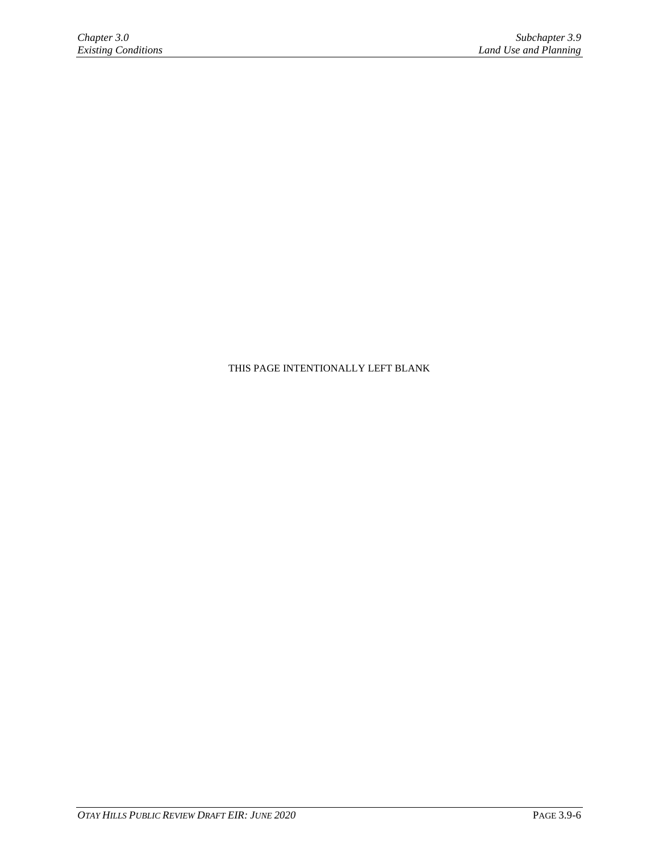#### THIS PAGE INTENTIONALLY LEFT BLANK